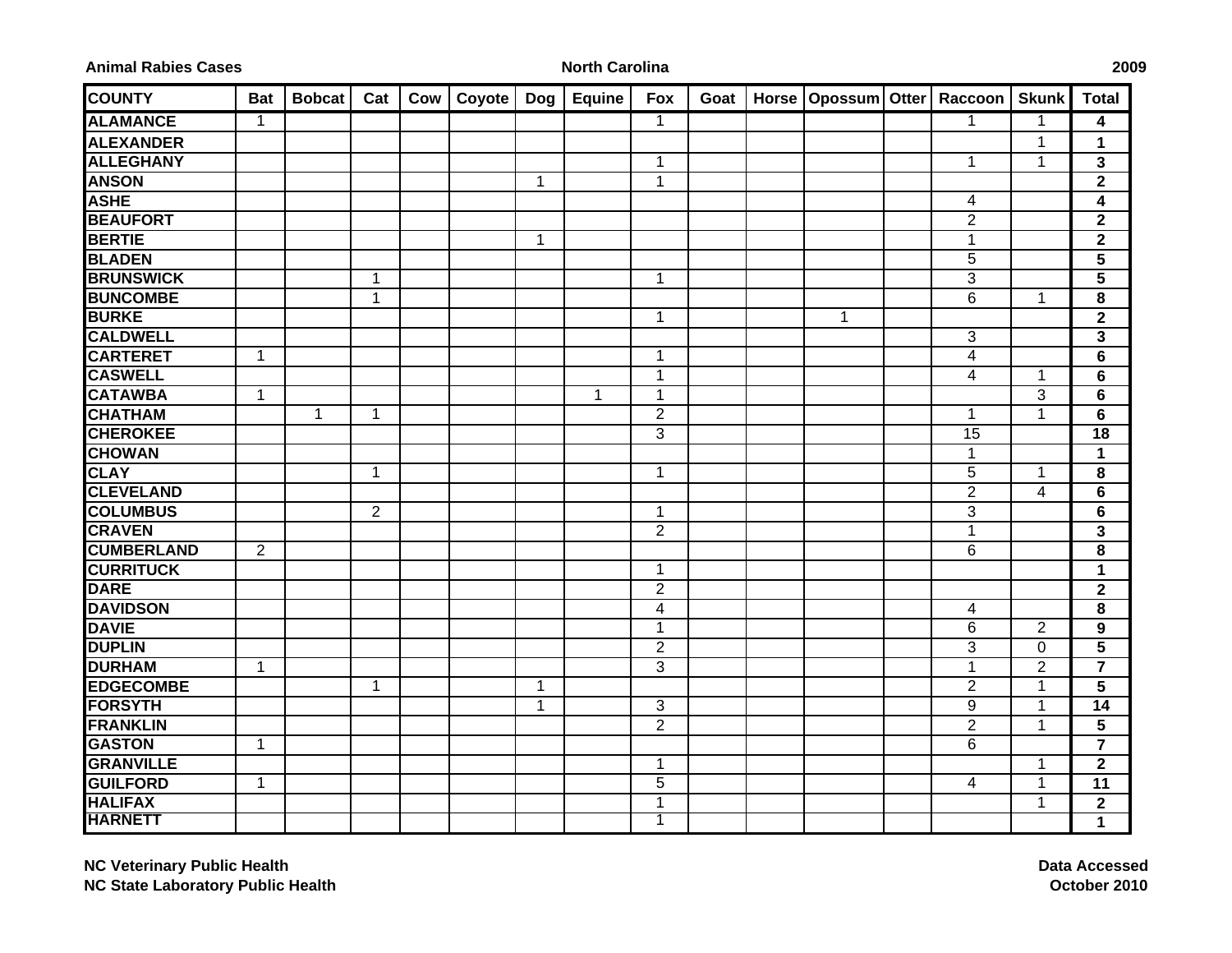| <b>Animal Rabies Cases</b> |  |
|----------------------------|--|
|----------------------------|--|

## **North Carolina 2009**

| <b>COUNTY</b>     | <b>Bat</b>     | <b>Bobcat</b> | Cat            | Cow | Coyote   Dog |   | <b>Equine</b> | Fox            | Goat | Horse   Opossum   Otter   Raccoon |                         | <b>Skunk</b>   | <b>Total</b>            |
|-------------------|----------------|---------------|----------------|-----|--------------|---|---------------|----------------|------|-----------------------------------|-------------------------|----------------|-------------------------|
| <b>ALAMANCE</b>   | $\mathbf{1}$   |               |                |     |              |   |               | $\mathbf{1}$   |      |                                   | 1                       | 1              | 4                       |
| <b>ALEXANDER</b>  |                |               |                |     |              |   |               |                |      |                                   |                         | 1              | $\mathbf 1$             |
| <b>ALLEGHANY</b>  |                |               |                |     |              |   |               | $\mathbf{1}$   |      |                                   | $\mathbf{1}$            | $\mathbf{1}$   | $\mathbf{3}$            |
| <b>ANSON</b>      |                |               |                |     |              | 1 |               | $\mathbf{1}$   |      |                                   |                         |                | $\overline{2}$          |
| <b>ASHE</b>       |                |               |                |     |              |   |               |                |      |                                   | 4                       |                | $\overline{\mathbf{4}}$ |
| <b>BEAUFORT</b>   |                |               |                |     |              |   |               |                |      |                                   | $\overline{2}$          |                | $\overline{2}$          |
| <b>BERTIE</b>     |                |               |                |     |              | 1 |               |                |      |                                   | $\mathbf 1$             |                | $\mathbf{2}$            |
| <b>BLADEN</b>     |                |               |                |     |              |   |               |                |      |                                   | $\overline{5}$          |                | 5                       |
| <b>BRUNSWICK</b>  |                |               | 1              |     |              |   |               | $\mathbf{1}$   |      |                                   | $\overline{3}$          |                | 5                       |
| <b>BUNCOMBE</b>   |                |               | $\mathbf{1}$   |     |              |   |               |                |      |                                   | 6                       | $\mathbf 1$    | 8                       |
| <b>BURKE</b>      |                |               |                |     |              |   |               | $\mathbf{1}$   |      | $\mathbf{1}$                      |                         |                | $\overline{2}$          |
| <b>CALDWELL</b>   |                |               |                |     |              |   |               |                |      |                                   | 3                       |                | 3                       |
| <b>CARTERET</b>   | $\overline{1}$ |               |                |     |              |   |               | $\mathbf{1}$   |      |                                   | $\overline{\mathbf{4}}$ |                | 6                       |
| <b>CASWELL</b>    |                |               |                |     |              |   |               | $\mathbf{1}$   |      |                                   | 4                       | $\mathbf 1$    | 6                       |
| <b>CATAWBA</b>    | $\mathbf 1$    |               |                |     |              |   | 1             | $\mathbf{1}$   |      |                                   |                         | 3              | 6                       |
| <b>CHATHAM</b>    |                | $\mathbf{1}$  | $\mathbf 1$    |     |              |   |               | $\overline{2}$ |      |                                   | $\mathbf{1}$            | $\mathbf{1}$   | 6                       |
| <b>CHEROKEE</b>   |                |               |                |     |              |   |               | 3              |      |                                   | 15                      |                | 18                      |
| <b>CHOWAN</b>     |                |               |                |     |              |   |               |                |      |                                   | $\mathbf{1}$            |                | $\mathbf{1}$            |
| <b>CLAY</b>       |                |               | $\mathbf{1}$   |     |              |   |               | $\mathbf{1}$   |      |                                   | $\overline{5}$          | $\mathbf{1}$   | 8                       |
| <b>CLEVELAND</b>  |                |               |                |     |              |   |               |                |      |                                   | $\overline{2}$          | $\overline{4}$ | $6\phantom{1}$          |
| <b>COLUMBUS</b>   |                |               | $\overline{2}$ |     |              |   |               | $\mathbf{1}$   |      |                                   | 3                       |                | $6\phantom{1}$          |
| <b>CRAVEN</b>     |                |               |                |     |              |   |               | $\overline{2}$ |      |                                   | $\mathbf{1}$            |                | $\overline{\mathbf{3}}$ |
| <b>CUMBERLAND</b> | $\overline{2}$ |               |                |     |              |   |               |                |      |                                   | $\overline{6}$          |                | 8                       |
| <b>CURRITUCK</b>  |                |               |                |     |              |   |               | $\mathbf{1}$   |      |                                   |                         |                | $\mathbf 1$             |
| <b>DARE</b>       |                |               |                |     |              |   |               | $\overline{2}$ |      |                                   |                         |                | $\overline{2}$          |
| <b>DAVIDSON</b>   |                |               |                |     |              |   |               | $\overline{4}$ |      |                                   | 4                       |                | 8                       |
| <b>DAVIE</b>      |                |               |                |     |              |   |               | $\mathbf{1}$   |      |                                   | 6                       | $\overline{2}$ | 9                       |
| <b>DUPLIN</b>     |                |               |                |     |              |   |               | $\overline{2}$ |      |                                   | $\overline{3}$          | 0              | $\overline{\mathbf{5}}$ |
| <b>DURHAM</b>     | 1              |               |                |     |              |   |               | $\overline{3}$ |      |                                   | $\overline{1}$          | $\overline{2}$ | $\overline{\mathbf{7}}$ |
| <b>EDGECOMBE</b>  |                |               | $\mathbf{1}$   |     |              | 1 |               |                |      |                                   | $\overline{2}$          | $\mathbf 1$    | $5\phantom{1}$          |
| <b>FORSYTH</b>    |                |               |                |     |              | 1 |               | 3              |      |                                   | $9\,$                   | $\mathbf 1$    | 14                      |
| <b>FRANKLIN</b>   |                |               |                |     |              |   |               | $\overline{2}$ |      |                                   | $\overline{2}$          | $\mathbf 1$    | 5                       |
| <b>GASTON</b>     | $\mathbf 1$    |               |                |     |              |   |               |                |      |                                   | 6                       |                | $\overline{7}$          |
| <b>GRANVILLE</b>  |                |               |                |     |              |   |               | $\mathbf{1}$   |      |                                   |                         | $\mathbf 1$    | $\mathbf{2}$            |
| <b>GUILFORD</b>   | $\mathbf{1}$   |               |                |     |              |   |               | 5              |      |                                   | 4                       | $\mathbf 1$    | 11                      |
| <b>HALIFAX</b>    |                |               |                |     |              |   |               | $\mathbf{1}$   |      |                                   |                         | $\mathbf{1}$   | $\mathbf{2}$            |
| <b>HARNETT</b>    |                |               |                |     |              |   |               | $\overline{1}$ |      |                                   |                         |                | 1                       |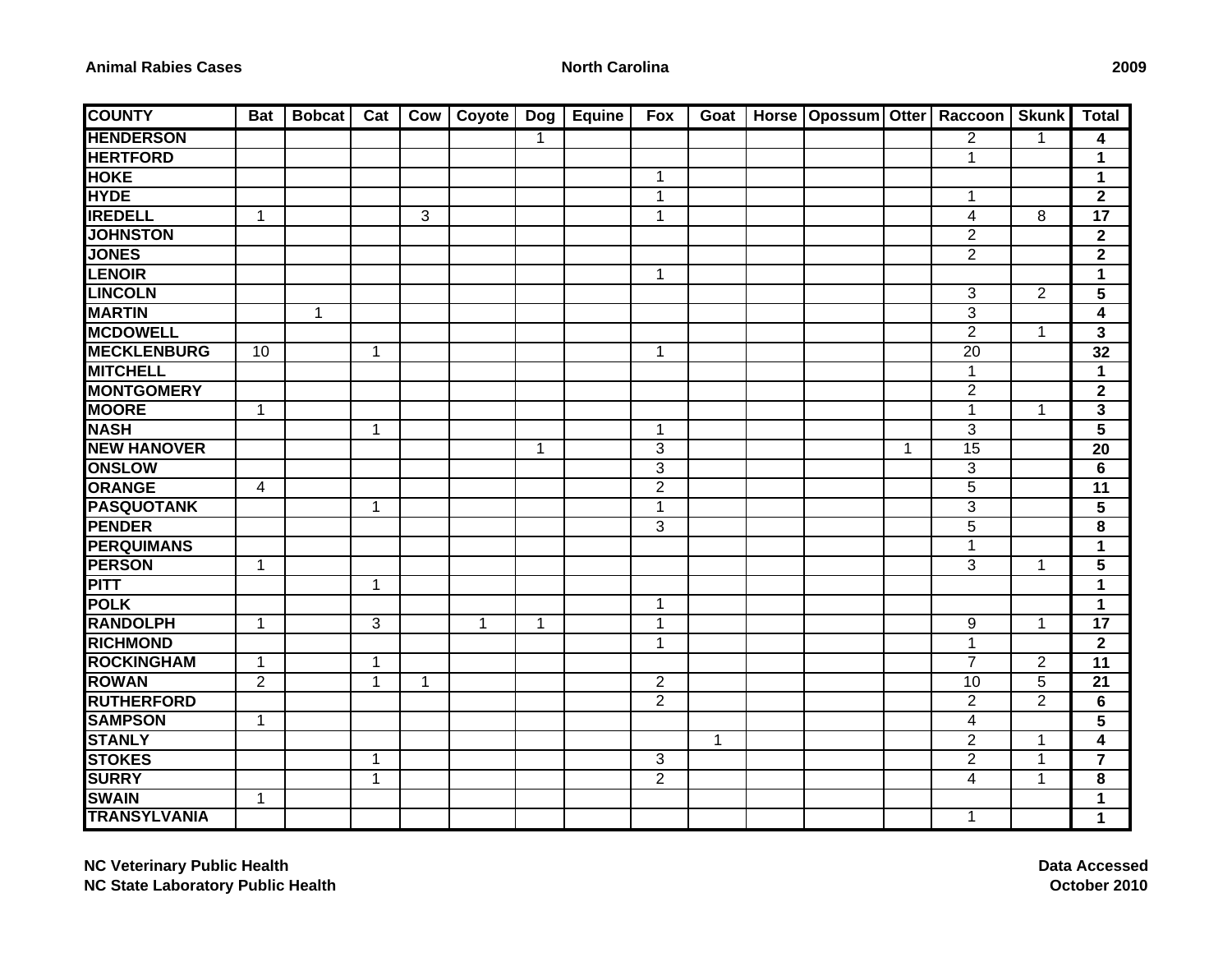## **North Carolina 2009**

| <b>COUNTY</b>       | <b>Bat</b>     | <b>Bobcat</b> | Cat          | Cow          | Coyote       | Dog          | <b>Equine</b> | <b>Fox</b>     | Goat         | Horse   Opossum   Otter   Raccoon |              |                          | <b>Skunk</b>   | <b>Total</b>    |
|---------------------|----------------|---------------|--------------|--------------|--------------|--------------|---------------|----------------|--------------|-----------------------------------|--------------|--------------------------|----------------|-----------------|
| <b>HENDERSON</b>    |                |               |              |              |              | 1            |               |                |              |                                   |              | $\overline{2}$           | $\mathbf 1$    | 4               |
| <b>HERTFORD</b>     |                |               |              |              |              |              |               |                |              |                                   |              | $\mathbf 1$              |                | $\mathbf 1$     |
| <b>HOKE</b>         |                |               |              |              |              |              |               | $\mathbf{1}$   |              |                                   |              |                          |                | 1               |
| <b>HYDE</b>         |                |               |              |              |              |              |               | $\mathbf{1}$   |              |                                   |              | $\mathbf{1}$             |                | $\mathbf{2}$    |
| <b>IREDELL</b>      | $\mathbf 1$    |               |              | 3            |              |              |               | $\mathbf{1}$   |              |                                   |              | 4                        | 8              | 17              |
| <b>JOHNSTON</b>     |                |               |              |              |              |              |               |                |              |                                   |              | $\overline{2}$           |                | $\mathbf{2}$    |
| <b>JONES</b>        |                |               |              |              |              |              |               |                |              |                                   |              | $\overline{2}$           |                | $\mathbf 2$     |
| <b>LENOIR</b>       |                |               |              |              |              |              |               | $\mathbf{1}$   |              |                                   |              |                          |                | $\mathbf 1$     |
| <b>LINCOLN</b>      |                |               |              |              |              |              |               |                |              |                                   |              | 3                        | $\overline{2}$ | 5               |
| <b>MARTIN</b>       |                | $\mathbf{1}$  |              |              |              |              |               |                |              |                                   |              | $\overline{3}$           |                | 4               |
| <b>MCDOWELL</b>     |                |               |              |              |              |              |               |                |              |                                   |              | $\overline{2}$           | $\mathbf{1}$   | 3               |
| <b>MECKLENBURG</b>  | 10             |               | $\mathbf{1}$ |              |              |              |               | $\mathbf{1}$   |              |                                   |              | 20                       |                | 32              |
| <b>MITCHELL</b>     |                |               |              |              |              |              |               |                |              |                                   |              | $\mathbf 1$              |                | $\mathbf{1}$    |
| <b>MONTGOMERY</b>   |                |               |              |              |              |              |               |                |              |                                   |              | $\overline{2}$           |                | $\mathbf{2}$    |
| <b>MOORE</b>        | $\mathbf{1}$   |               |              |              |              |              |               |                |              |                                   |              | $\mathbf{1}$             | $\mathbf{1}$   | 3               |
| <b>NASH</b>         |                |               | $\mathbf{1}$ |              |              |              |               | $\mathbf{1}$   |              |                                   |              | 3                        |                | $5\phantom{.0}$ |
| <b>NEW HANOVER</b>  |                |               |              |              |              | 1            |               | 3              |              |                                   | $\mathbf{1}$ | 15                       |                | 20              |
| <b>ONSLOW</b>       |                |               |              |              |              |              |               | 3              |              |                                   |              | 3                        |                | 6               |
| <b>ORANGE</b>       | 4              |               |              |              |              |              |               | $\overline{c}$ |              |                                   |              | 5                        |                | 11              |
| <b>PASQUOTANK</b>   |                |               | $\mathbf{1}$ |              |              |              |               | $\mathbf{1}$   |              |                                   |              | 3                        |                | $5\phantom{.0}$ |
| <b>PENDER</b>       |                |               |              |              |              |              |               | 3              |              |                                   |              | $\overline{5}$           |                | 8               |
| <b>PERQUIMANS</b>   |                |               |              |              |              |              |               |                |              |                                   |              | $\mathbf{1}$             |                | $\mathbf 1$     |
| <b>PERSON</b>       | $\mathbf{1}$   |               |              |              |              |              |               |                |              |                                   |              | 3                        | $\mathbf{1}$   | 5               |
| <b>PITT</b>         |                |               | $\mathbf 1$  |              |              |              |               |                |              |                                   |              |                          |                | $\mathbf 1$     |
| <b>POLK</b>         |                |               |              |              |              |              |               | 1              |              |                                   |              |                          |                | $\mathbf 1$     |
| <b>RANDOLPH</b>     | 1              |               | 3            |              | $\mathbf{1}$ | $\mathbf{1}$ |               | $\mathbf 1$    |              |                                   |              | 9                        | $\mathbf{1}$   | 17              |
| <b>RICHMOND</b>     |                |               |              |              |              |              |               | $\mathbf{1}$   |              |                                   |              | $\mathbf{1}$             |                | $\mathbf{2}$    |
| <b>ROCKINGHAM</b>   | $\mathbf{1}$   |               | $\mathbf{1}$ |              |              |              |               |                |              |                                   |              | $\overline{7}$           | $\overline{2}$ | 11              |
| <b>ROWAN</b>        | $\overline{2}$ |               | $\mathbf{1}$ | $\mathbf{1}$ |              |              |               | $\overline{2}$ |              |                                   |              | 10                       | 5              | 21              |
| <b>RUTHERFORD</b>   |                |               |              |              |              |              |               | $\overline{2}$ |              |                                   |              | $\overline{2}$           | $\overline{2}$ | 6               |
| <b>SAMPSON</b>      | $\mathbf{1}$   |               |              |              |              |              |               |                |              |                                   |              | $\overline{\mathcal{A}}$ |                | 5               |
| <b>STANLY</b>       |                |               |              |              |              |              |               |                | $\mathbf{1}$ |                                   |              | $\overline{2}$           | $\mathbf{1}$   | 4               |
| <b>STOKES</b>       |                |               | 1            |              |              |              |               | 3              |              |                                   |              | $\overline{2}$           | $\mathbf{1}$   | $\overline{7}$  |
| <b>SURRY</b>        |                |               | $\mathbf{1}$ |              |              |              |               | $\overline{2}$ |              |                                   |              | $\overline{4}$           | $\mathbf{1}$   | 8               |
| <b>SWAIN</b>        | 1              |               |              |              |              |              |               |                |              |                                   |              |                          |                | $\mathbf 1$     |
| <b>TRANSYLVANIA</b> |                |               |              |              |              |              |               |                |              |                                   |              | $\overline{1}$           |                | $\mathbf 1$     |